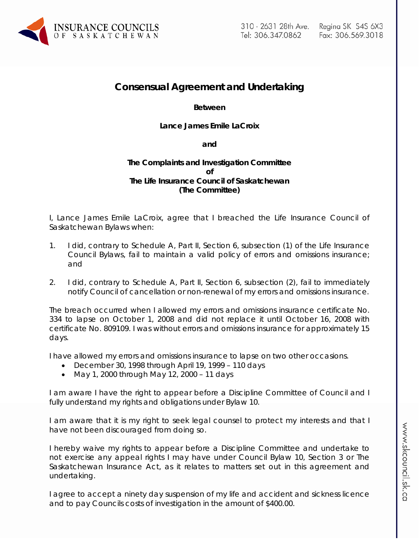

# **Consensual Agreement and Undertaking**

## **Between**

## **Lance James Emile LaCroix**

#### **and**

## **The Complaints and Investigation Committee of The Life Insurance Council of Saskatchewan (The Committee)**

I, Lance James Emile LaCroix, agree that I breached the Life Insurance Council of Saskatchewan Bylaws when:

- 1. I did, contrary to Schedule A, Part II, Section 6, subsection (1) of the Life Insurance Council Bylaws, fail to maintain a valid policy of errors and omissions insurance; and
- 2. I did, contrary to Schedule A, Part II, Section 6, subsection (2), fail to immediately notify Council of cancellation or non-renewal of my errors and omissions insurance.

The breach occurred when I allowed my errors and omissions insurance certificate No. 334 to lapse on October 1, 2008 and did not replace it until October 16, 2008 with certificate No. 809109. I was without errors and omissions insurance for approximately 15 days.

I have allowed my errors and omissions insurance to lapse on two other occasions.

- December 30, 1998 through April 19, 1999 110 days
- May 1, 2000 through May 12, 2000 11 days

I am aware I have the right to appear before a Discipline Committee of Council and I fully understand my rights and obligations under Bylaw 10.

I am aware that it is my right to seek legal counsel to protect my interests and that I have not been discouraged from doing so.

I hereby waive my rights to appear before a Discipline Committee and undertake to not exercise any appeal rights I may have under Council Bylaw 10, Section 3 or *The Saskatchewan Insurance Act,* as it relates to matters set out in this agreement and undertaking.

I agree to accept a ninety day suspension of my life and accident and sickness licence and to pay Councils costs of investigation in the amount of \$400.00.